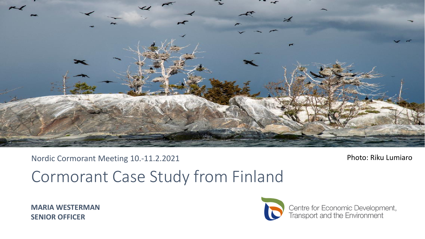

#### Nordic Cormorant Meeting 10.-11.2.2021

#### Photo: Riku Lumiaro

# Cormorant Case Study from Finland

**MARIA WESTERMAN SENIOR OFFICER**



Centre for Economic Development,<br>Transport and the Environment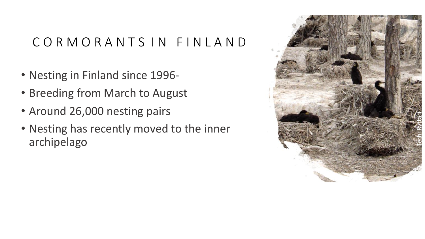### C O R M O R A N T S I N F I N L A N D

- Nesting in Finland since 1996 -
- Breeding from March to August
- Around 26,000 nesting pairs
- Nesting has recently moved to the inner archipelago

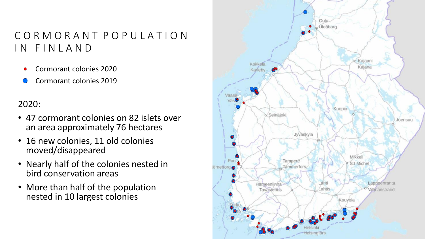### C O R M O R A N T P O P U L A T I O N IN FINLAND

- Cormorant colonies 2020
- Cormorant colonies 2019

#### 2020:

- 47 cormorant colonies on 82 islets over an area approximately 76 hectares
- 16 new colonies, 11 old colonies moved/disappeared
- Nearly half of the colonies nested in bird conservation areas
- More than half of the population nested in 10 largest colonies

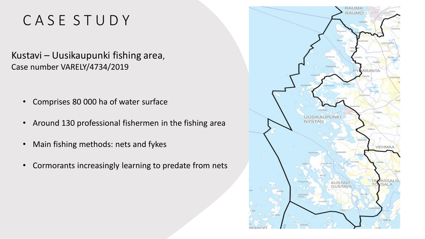## C A S E S T U D Y

Kustavi – Uusikaupunki fishing area, Case number VARELY/4734/2019

- Comprises 80 000 ha of water surface
- Around 130 professional fishermen in the fishing area
- Main fishing methods: nets and fykes
- Cormorants increasingly learning to predate from nets

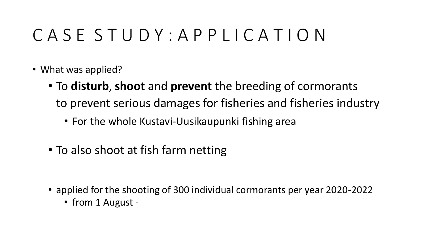# C A S E S T U D Y : A P P L I C A T I O N

- What was applied?
	- To **disturb**, **shoot** and **prevent** the breeding of cormorants to prevent serious damages for fisheries and fisheries industry
		- For the whole Kustavi-Uusikaupunki fishing area
	- To also shoot at fish farm netting

- applied for the shooting of 300 individual cormorants per year 2020-2022
	- from 1 August -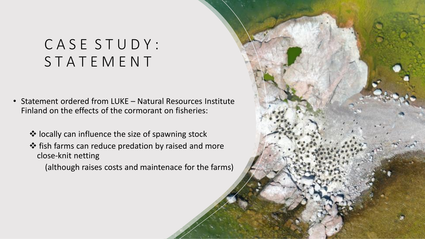## C A S E S T U D Y : S T A T E M E N T

- Statement ordered from LUKE Natural Resources Institute Finland on the effects of the cormorant on fisheries:
	- ❖ locally can influence the size of spawning stock
	- ❖ fish farms can reduce predation by raised and more close-knit netting

(although raises costs and maintenace for the farms)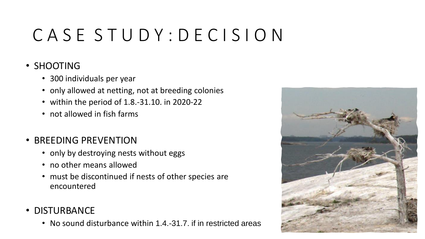# C A S E S T U D Y : D E C I S I O N

#### • SHOOTING

- 300 individuals per year
- only allowed at netting, not at breeding colonies
- within the period of 1.8.-31.10. in 2020-22
- not allowed in fish farms
- BREEDING PREVENTION
	- only by destroying nests without eggs
	- no other means allowed
	- must be discontinued if nests of other species are encountered
- DISTURBANCE
	- No sound disturbance within 1.4.-31.7. if in restricted areas

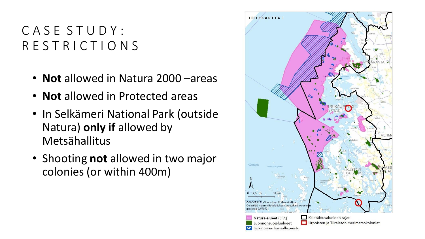### C A S E S T U D Y : R E S T R I C T I O N S

- **Not** allowed in Natura 2000 –areas
- **Not** allowed in Protected areas
- In Selkämeri National Park (outside Natura) **only if** allowed by Metsähallitus
- Shooting **not** allowed in two major colonies (or within 400m)

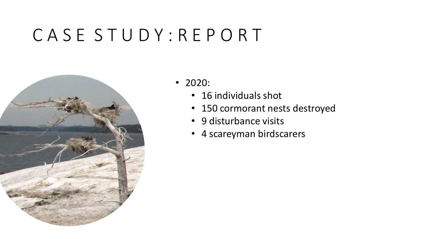# C A S E S T U D Y : R E P O R T



- 2020:
	- 16 individuals shot
	- 150 cormorant nests destroyed
	- 9 disturbance visits
	- 4 scareyman birdscarers